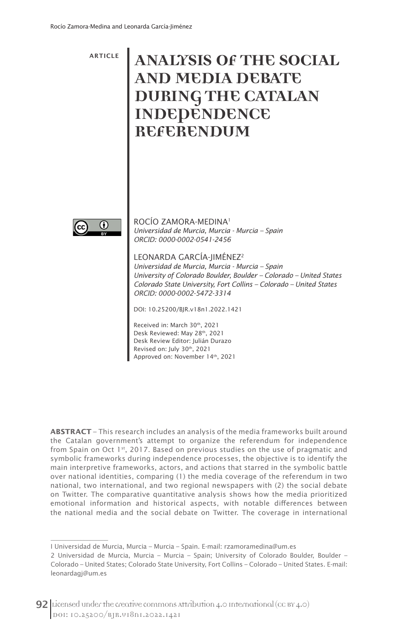ARTICLE

# **ANALYSIS OF THE SOCIAL AND MEDIA DEBATE DURING THE CATALAN INDEPENDENCE REFERENDUM**



 $\overline{\phantom{a}}$ 

ROCÍO ZAMORA-MEDINA1 *Universidad de Murcia, Murcia - Murcia – Spain ORCID: 0000-0002-0541-2456*

LEONARDA GARCÍA-JIMÉNEZ2

*Universidad de Murcia, Murcia - Murcia – Spain University of Colorado Boulder, Boulder – Colorado – United States Colorado State University, Fort Collins – Colorado – United States ORCID: 0000-0002-5472-3314*

DOI: 10.25200/BJR.v18n1.2022.1421

Received in: March 30th, 2021 Desk Reviewed: May 28th, 2021 Desk Review Editor: Julián Durazo Revised on: July 30th, 2021 Approved on: November 14th, 2021

**ABSTRACT** – This research includes an analysis of the media frameworks built around the Catalan government's attempt to organize the referendum for independence from Spain on Oct  $1st$ , 2017. Based on previous studies on the use of pragmatic and symbolic frameworks during independence processes, the objective is to identify the main interpretive frameworks, actors, and actions that starred in the symbolic battle over national identities, comparing (1) the media coverage of the referendum in two national, two international, and two regional newspapers with (2) the social debate on Twitter. The comparative quantitative analysis shows how the media prioritized emotional information and historical aspects, with notable differences between the national media and the social debate on Twitter. The coverage in international

I Universidad de Murcia, Murcia – Murcia – Spain. E-mail: rzamoramedina@um.es

<sup>2</sup> Universidad de Murcia, Murcia – Murcia – Spain; University of Colorado Boulder, Boulder – Colorado – United States; Colorado State University, Fort Collins – Colorado – United States. E-mail: leonardagj@um.es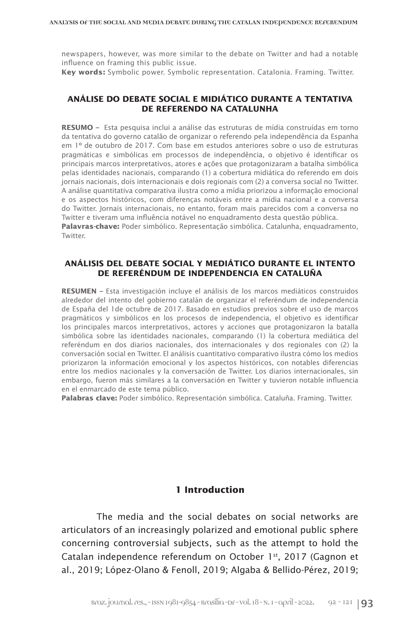newspapers, however, was more similar to the debate on Twitter and had a notable influence on framing this public issue.

**Key words:** Symbolic power. Symbolic representation. Catalonia. Framing. Twitter.

#### **ANÁLISE DO DEBATE SOCIAL E MIDIÁTICO DURANTE A TENTATIVA DE REFERENDO NA CATALUNHA**

**RESUMO –** Esta pesquisa inclui a análise das estruturas de mídia construídas em torno da tentativa do governo catalão de organizar o referendo pela independência da Espanha em 1º de outubro de 2017. Com base em estudos anteriores sobre o uso de estruturas pragmáticas e simbólicas em processos de independência, o objetivo é identificar os principais marcos interpretativos, atores e ações que protagonizaram a batalha simbólica pelas identidades nacionais, comparando (1) a cobertura midiática do referendo em dois jornais nacionais, dois internacionais e dois regionais com (2) a conversa social no Twitter. A análise quantitativa comparativa ilustra como a mídia priorizou a informação emocional e os aspectos históricos, com diferenças notáveis entre a mídia nacional e a conversa do Twitter. Jornais internacionais, no entanto, foram mais parecidos com a conversa no Twitter e tiveram uma influência notável no enquadramento desta questão pública. **Palavras-chave:** Poder simbólico. Representação simbólica. Catalunha, enquadramento, Twitter.

#### **ANÁLISIS DEL DEBATE SOCIAL Y MEDIÁTICO DURANTE EL INTENTO DE REFERÉNDUM DE INDEPENDENCIA EN CATALUÑA**

**RESUMEN –** Esta investigación incluye el análisis de los marcos mediáticos construidos alrededor del intento del gobierno catalán de organizar el referéndum de independencia de España del 1de octubre de 2017. Basado en estudios previos sobre el uso de marcos pragmáticos y simbólicos en los procesos de independencia, el objetivo es identificar los principales marcos interpretativos, actores y acciones que protagonizaron la batalla simbólica sobre las identidades nacionales, comparando (1) la cobertura mediática del referéndum en dos diarios nacionales, dos internacionales y dos regionales con (2) la conversación social en Twitter. El análisis cuantitativo comparativo ilustra cómo los medios priorizaron la información emocional y los aspectos históricos, con notables diferencias entre los medios nacionales y la conversación de Twitter. Los diarios internacionales, sin embargo, fueron más similares a la conversación en Twitter y tuvieron notable influencia en el enmarcado de este tema público.

**Palabras clave:** Poder simbólico. Representación simbólica. Cataluña. Framing. Twitter.

# **1 Introduction**

The media and the social debates on social networks are articulators of an increasingly polarized and emotional public sphere concerning controversial subjects, such as the attempt to hold the Catalan independence referendum on October 1st, 2017 (Gagnon et al., 2019; López-Olano & Fenoll, 2019; Algaba & Bellido-Pérez, 2019;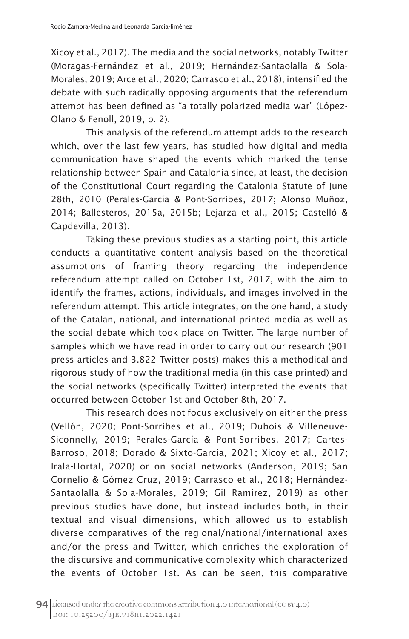Xicoy et al., 2017). The media and the social networks, notably Twitter (Moragas-Fernández et al., 2019; Hernández-Santaolalla & Sola-Morales, 2019; Arce et al., 2020; Carrasco et al., 2018), intensified the debate with such radically opposing arguments that the referendum attempt has been defined as "a totally polarized media war" (López-Olano & Fenoll, 2019, p. 2).

This analysis of the referendum attempt adds to the research which, over the last few years, has studied how digital and media communication have shaped the events which marked the tense relationship between Spain and Catalonia since, at least, the decision of the Constitutional Court regarding the Catalonia Statute of June 28th, 2010 (Perales-García & Pont-Sorribes, 2017; Alonso Muñoz, 2014; Ballesteros, 2015a, 2015b; Lejarza et al., 2015; Castelló & Capdevilla, 2013).

Taking these previous studies as a starting point, this article conducts a quantitative content analysis based on the theoretical assumptions of framing theory regarding the independence referendum attempt called on October 1st, 2017, with the aim to identify the frames, actions, individuals, and images involved in the referendum attempt. This article integrates, on the one hand, a study of the Catalan, national, and international printed media as well as the social debate which took place on Twitter. The large number of samples which we have read in order to carry out our research (901 press articles and 3.822 Twitter posts) makes this a methodical and rigorous study of how the traditional media (in this case printed) and the social networks (specifically Twitter) interpreted the events that occurred between October 1st and October 8th, 2017.

This research does not focus exclusively on either the press (Vellón, 2020; Pont-Sorribes et al., 2019; Dubois & Villeneuve-Siconnelly, 2019; Perales-García & Pont-Sorribes, 2017; Cartes-Barroso, 2018; Dorado & Sixto-García, 2021; Xicoy et al., 2017; Irala-Hortal, 2020) or on social networks (Anderson, 2019; San Cornelio & Gómez Cruz, 2019; Carrasco et al., 2018; Hernández-Santaolalla & Sola-Morales, 2019; Gil Ramírez, 2019) as other previous studies have done, but instead includes both, in their textual and visual dimensions, which allowed us to establish diverse comparatives of the regional/national/international axes and/or the press and Twitter, which enriches the exploration of the discursive and communicative complexity which characterized the events of October 1st. As can be seen, this comparative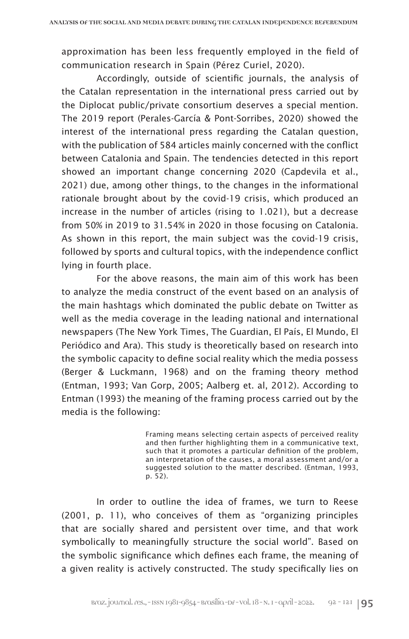approximation has been less frequently employed in the field of communication research in Spain (Pérez Curiel, 2020).

Accordingly, outside of scientific journals, the analysis of the Catalan representation in the international press carried out by the Diplocat public/private consortium deserves a special mention. The 2019 report (Perales-García & Pont-Sorribes, 2020) showed the interest of the international press regarding the Catalan question, with the publication of 584 articles mainly concerned with the conflict between Catalonia and Spain. The tendencies detected in this report showed an important change concerning 2020 (Capdevila et al., 2021) due, among other things, to the changes in the informational rationale brought about by the covid-19 crisis, which produced an increase in the number of articles (rising to 1.021), but a decrease from 50% in 2019 to 31.54% in 2020 in those focusing on Catalonia. As shown in this report, the main subject was the covid-19 crisis, followed by sports and cultural topics, with the independence conflict lying in fourth place.

For the above reasons, the main aim of this work has been to analyze the media construct of the event based on an analysis of the main hashtags which dominated the public debate on Twitter as well as the media coverage in the leading national and international newspapers (The New York Times, The Guardian, El País, El Mundo, El Periódico and Ara). This study is theoretically based on research into the symbolic capacity to define social reality which the media possess (Berger & Luckmann, 1968) and on the framing theory method (Entman, 1993; Van Gorp, 2005; Aalberg et. al, 2012). According to Entman (1993) the meaning of the framing process carried out by the media is the following:

> Framing means selecting certain aspects of perceived reality and then further highlighting them in a communicative text, such that it promotes a particular definition of the problem, an interpretation of the causes, a moral assessment and/or a suggested solution to the matter described. (Entman, 1993, p. 52).

In order to outline the idea of frames, we turn to Reese (2001, p. 11), who conceives of them as "organizing principles that are socially shared and persistent over time, and that work symbolically to meaningfully structure the social world". Based on the symbolic significance which defines each frame, the meaning of a given reality is actively constructed. The study specifically lies on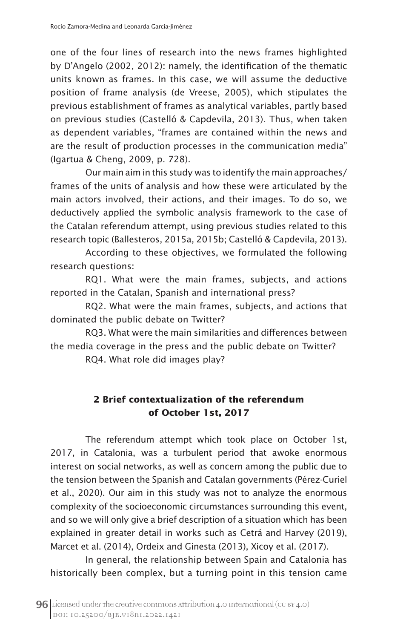one of the four lines of research into the news frames highlighted by D'Angelo (2002, 2012): namely, the identification of the thematic units known as frames. In this case, we will assume the deductive position of frame analysis (de Vreese, 2005), which stipulates the previous establishment of frames as analytical variables, partly based on previous studies (Castelló & Capdevila, 2013). Thus, when taken as dependent variables, "frames are contained within the news and are the result of production processes in the communication media" (Igartua & Cheng, 2009, p. 728).

Our main aim in this study was to identify the main approaches/ frames of the units of analysis and how these were articulated by the main actors involved, their actions, and their images. To do so, we deductively applied the symbolic analysis framework to the case of the Catalan referendum attempt, using previous studies related to this research topic (Ballesteros, 2015a, 2015b; Castelló & Capdevila, 2013).

According to these objectives, we formulated the following research questions:

RQ1. What were the main frames, subjects, and actions reported in the Catalan, Spanish and international press?

RQ2. What were the main frames, subjects, and actions that dominated the public debate on Twitter?

RQ3. What were the main similarities and differences between the media coverage in the press and the public debate on Twitter?

RQ4. What role did images play?

# **2 Brief contextualization of the referendum of October 1st, 2017**

The referendum attempt which took place on October 1st, 2017, in Catalonia, was a turbulent period that awoke enormous interest on social networks, as well as concern among the public due to the tension between the Spanish and Catalan governments (Pérez-Curiel et al., 2020). Our aim in this study was not to analyze the enormous complexity of the socioeconomic circumstances surrounding this event, and so we will only give a brief description of a situation which has been explained in greater detail in works such as Cetrá and Harvey (2019), Marcet et al. (2014), Ordeix and Ginesta (2013), Xicoy et al. (2017).

In general, the relationship between Spain and Catalonia has historically been complex, but a turning point in this tension came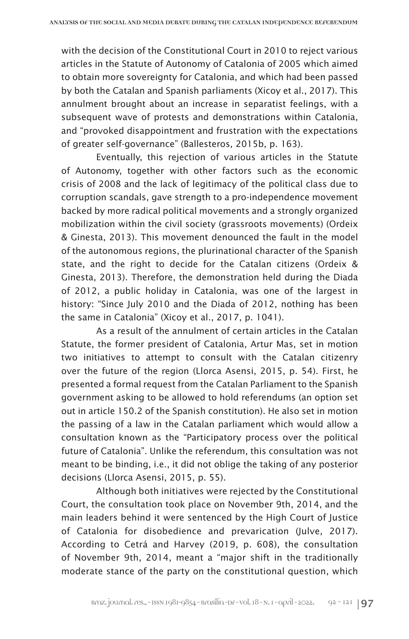with the decision of the Constitutional Court in 2010 to reject various articles in the Statute of Autonomy of Catalonia of 2005 which aimed to obtain more sovereignty for Catalonia, and which had been passed by both the Catalan and Spanish parliaments (Xicoy et al., 2017). This annulment brought about an increase in separatist feelings, with a subsequent wave of protests and demonstrations within Catalonia, and "provoked disappointment and frustration with the expectations of greater self-governance" (Ballesteros, 2015b, p. 163).

Eventually, this rejection of various articles in the Statute of Autonomy, together with other factors such as the economic crisis of 2008 and the lack of legitimacy of the political class due to corruption scandals, gave strength to a pro-independence movement backed by more radical political movements and a strongly organized mobilization within the civil society (grassroots movements) (Ordeix & Ginesta, 2013). This movement denounced the fault in the model of the autonomous regions, the plurinational character of the Spanish state, and the right to decide for the Catalan citizens (Ordeix & Ginesta, 2013). Therefore, the demonstration held during the Diada of 2012, a public holiday in Catalonia, was one of the largest in history: "Since July 2010 and the Diada of 2012, nothing has been the same in Catalonia" (Xicoy et al., 2017, p. 1041).

As a result of the annulment of certain articles in the Catalan Statute, the former president of Catalonia, Artur Mas, set in motion two initiatives to attempt to consult with the Catalan citizenry over the future of the region (Llorca Asensi, 2015, p. 54). First, he presented a formal request from the Catalan Parliament to the Spanish government asking to be allowed to hold referendums (an option set out in article 150.2 of the Spanish constitution). He also set in motion the passing of a law in the Catalan parliament which would allow a consultation known as the "Participatory process over the political future of Catalonia". Unlike the referendum, this consultation was not meant to be binding, i.e., it did not oblige the taking of any posterior decisions (Llorca Asensi, 2015, p. 55).

Although both initiatives were rejected by the Constitutional Court, the consultation took place on November 9th, 2014, and the main leaders behind it were sentenced by the High Court of Justice of Catalonia for disobedience and prevarication (Julve, 2017). According to Cetrá and Harvey (2019, p. 608), the consultation of November 9th, 2014, meant a "major shift in the traditionally moderate stance of the party on the constitutional question, which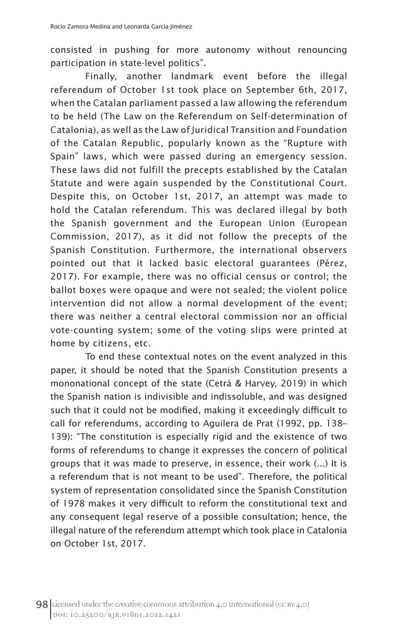consisted in pushing for more autonomy without renouncing participation in state-level politics".

Finally, another landmark event before the illegal referendum of October 1st took place on September 6th, 2017, when the Catalan parliament passed a law allowing the referendum to be held (The Law on the Referendum on Self-determination of Catalonia), as well as the Law of Juridical Transition and Foundation of the Catalan Republic, popularly known as the "Rupture with Spain" laws, which were passed during an emergency session. These laws did not fulfill the precepts established by the Catalan Statute and were again suspended by the Constitutional Court. Despite this, on October 1st, 2017, an attempt was made to hold the Catalan referendum. This was declared illegal by both the Spanish government and the European Union (European Commission, 2017), as it did not follow the precepts of the Spanish Constitution. Furthermore, the international observers pointed out that it lacked basic electoral guarantees (Pérez, 2017). For example, there was no official census or control; the ballot boxes were opaque and were not sealed; the violent police intervention did not allow a normal development of the event; there was neither a central electoral commission nor an official vote-counting system; some of the voting slips were printed at home by citizens, etc.

To end these contextual notes on the event analyzed in this paper, it should be noted that the Spanish Constitution presents a mononational concept of the state (Cetrá & Harvey, 2019) in which the Spanish nation is indivisible and indissoluble, and was designed such that it could not be modified, making it exceedingly difficult to call for referendums, according to Aguilera de Prat (1992, pp. 138– 139): "The constitution is especially rigid and the existence of two forms of referendums to change it expresses the concern of political groups that it was made to preserve, in essence, their work (...) It is a referendum that is not meant to be used". Therefore, the political system of representation consolidated since the Spanish Constitution of 1978 makes it very difficult to reform the constitutional text and any consequent legal reserve of a possible consultation; hence, the illegal nature of the referendum attempt which took place in Catalonia on October 1st, 2017.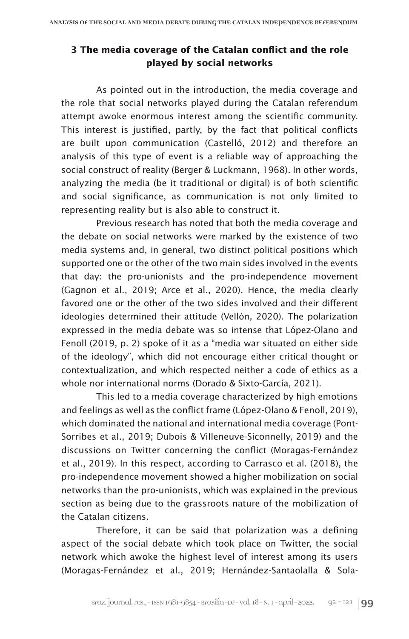# **3 The media coverage of the Catalan conflict and the role played by social networks**

As pointed out in the introduction, the media coverage and the role that social networks played during the Catalan referendum attempt awoke enormous interest among the scientific community. This interest is justified, partly, by the fact that political conflicts are built upon communication (Castelló, 2012) and therefore an analysis of this type of event is a reliable way of approaching the social construct of reality (Berger & Luckmann, 1968). In other words, analyzing the media (be it traditional or digital) is of both scientific and social significance, as communication is not only limited to representing reality but is also able to construct it.

Previous research has noted that both the media coverage and the debate on social networks were marked by the existence of two media systems and, in general, two distinct political positions which supported one or the other of the two main sides involved in the events that day: the pro-unionists and the pro-independence movement (Gagnon et al., 2019; Arce et al., 2020). Hence, the media clearly favored one or the other of the two sides involved and their different ideologies determined their attitude (Vellón, 2020). The polarization expressed in the media debate was so intense that López-Olano and Fenoll (2019, p. 2) spoke of it as a "media war situated on either side of the ideology", which did not encourage either critical thought or contextualization, and which respected neither a code of ethics as a whole nor international norms (Dorado & Sixto-García, 2021).

This led to a media coverage characterized by high emotions and feelings as well as the conflict frame (López-Olano & Fenoll, 2019), which dominated the national and international media coverage (Pont-Sorribes et al., 2019; Dubois & Villeneuve-Siconnelly, 2019) and the discussions on Twitter concerning the conflict (Moragas-Fernández et al., 2019). In this respect, according to Carrasco et al. (2018), the pro-independence movement showed a higher mobilization on social networks than the pro-unionists, which was explained in the previous section as being due to the grassroots nature of the mobilization of the Catalan citizens.

Therefore, it can be said that polarization was a defining aspect of the social debate which took place on Twitter, the social network which awoke the highest level of interest among its users (Moragas-Fernández et al., 2019; Hernández-Santaolalla & Sola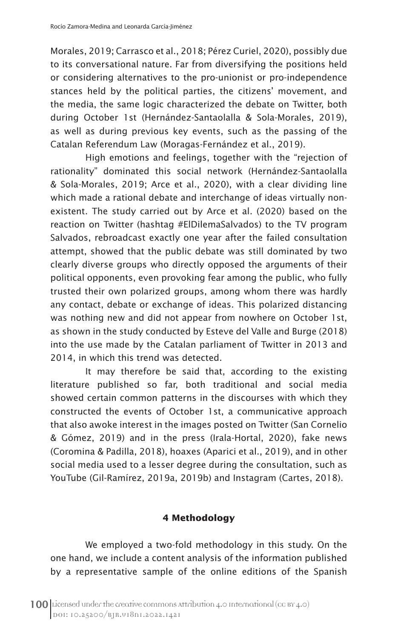Morales, 2019; Carrasco et al., 2018; Pérez Curiel, 2020), possibly due to its conversational nature. Far from diversifying the positions held or considering alternatives to the pro-unionist or pro-independence stances held by the political parties, the citizens' movement, and the media, the same logic characterized the debate on Twitter, both during October 1st (Hernández-Santaolalla & Sola-Morales, 2019), as well as during previous key events, such as the passing of the Catalan Referendum Law (Moragas-Fernández et al., 2019).

High emotions and feelings, together with the "rejection of rationality" dominated this social network (Hernández-Santaolalla & Sola-Morales, 2019; Arce et al., 2020), with a clear dividing line which made a rational debate and interchange of ideas virtually nonexistent. The study carried out by Arce et al. (2020) based on the reaction on Twitter (hashtag #ElDilemaSalvados) to the TV program Salvados, rebroadcast exactly one year after the failed consultation attempt, showed that the public debate was still dominated by two clearly diverse groups who directly opposed the arguments of their political opponents, even provoking fear among the public, who fully trusted their own polarized groups, among whom there was hardly any contact, debate or exchange of ideas. This polarized distancing was nothing new and did not appear from nowhere on October 1st, as shown in the study conducted by Esteve del Valle and Burge (2018) into the use made by the Catalan parliament of Twitter in 2013 and 2014, in which this trend was detected.

It may therefore be said that, according to the existing literature published so far, both traditional and social media showed certain common patterns in the discourses with which they constructed the events of October 1st, a communicative approach that also awoke interest in the images posted on Twitter (San Cornelio & Gómez, 2019) and in the press (Irala-Hortal, 2020), fake news (Coromina & Padilla, 2018), hoaxes (Aparici et al., 2019), and in other social media used to a lesser degree during the consultation, such as YouTube (Gil-Ramírez, 2019a, 2019b) and Instagram (Cartes, 2018).

# **4 Methodology**

We employed a two-fold methodology in this study. On the one hand, we include a content analysis of the information published by a representative sample of the online editions of the Spanish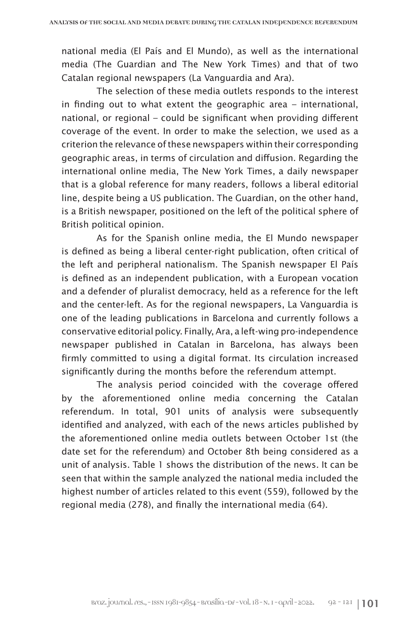national media (El País and El Mundo), as well as the international media (The Guardian and The New York Times) and that of two Catalan regional newspapers (La Vanguardia and Ara).

The selection of these media outlets responds to the interest in finding out to what extent the geographic area – international, national, or regional – could be significant when providing different coverage of the event. In order to make the selection, we used as a criterion the relevance of these newspapers within their corresponding geographic areas, in terms of circulation and diffusion. Regarding the international online media, The New York Times, a daily newspaper that is a global reference for many readers, follows a liberal editorial line, despite being a US publication. The Guardian, on the other hand, is a British newspaper, positioned on the left of the political sphere of British political opinion.

As for the Spanish online media, the El Mundo newspaper is defined as being a liberal center-right publication, often critical of the left and peripheral nationalism. The Spanish newspaper El País is defined as an independent publication, with a European vocation and a defender of pluralist democracy, held as a reference for the left and the center-left. As for the regional newspapers, La Vanguardia is one of the leading publications in Barcelona and currently follows a conservative editorial policy. Finally, Ara, a left-wing pro-independence newspaper published in Catalan in Barcelona, has always been firmly committed to using a digital format. Its circulation increased significantly during the months before the referendum attempt.

The analysis period coincided with the coverage offered by the aforementioned online media concerning the Catalan referendum. In total, 901 units of analysis were subsequently identified and analyzed, with each of the news articles published by the aforementioned online media outlets between October 1st (the date set for the referendum) and October 8th being considered as a unit of analysis. Table 1 shows the distribution of the news. It can be seen that within the sample analyzed the national media included the highest number of articles related to this event (559), followed by the regional media (278), and finally the international media (64).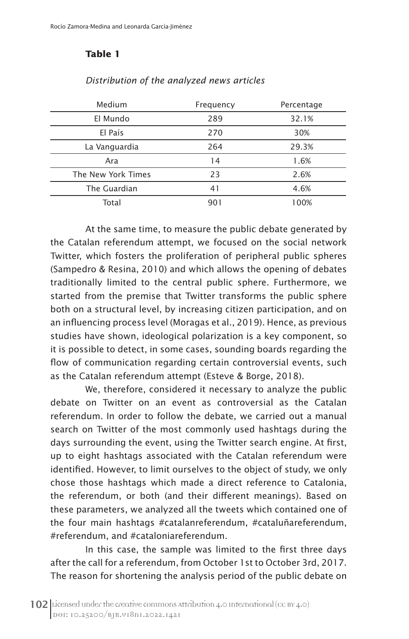# **Table 1**

| Medium             | Frequency | Percentage |
|--------------------|-----------|------------|
| El Mundo           | 289       | 32.1%      |
| El País            | 270       | 30%        |
| La Vanguardia      | 264       | 29.3%      |
| Ara                | 14        | 1.6%       |
| The New York Times | 23        | 2.6%       |
| The Guardian       | 41        | 4.6%       |
| Total              | 901       | 100%       |

#### *Distribution of the analyzed news articles*

At the same time, to measure the public debate generated by the Catalan referendum attempt, we focused on the social network Twitter, which fosters the proliferation of peripheral public spheres (Sampedro & Resina, 2010) and which allows the opening of debates traditionally limited to the central public sphere. Furthermore, we started from the premise that Twitter transforms the public sphere both on a structural level, by increasing citizen participation, and on an influencing process level (Moragas et al., 2019). Hence, as previous studies have shown, ideological polarization is a key component, so it is possible to detect, in some cases, sounding boards regarding the flow of communication regarding certain controversial events, such as the Catalan referendum attempt (Esteve & Borge, 2018).

We, therefore, considered it necessary to analyze the public debate on Twitter on an event as controversial as the Catalan referendum. In order to follow the debate, we carried out a manual search on Twitter of the most commonly used hashtags during the days surrounding the event, using the Twitter search engine. At first, up to eight hashtags associated with the Catalan referendum were identified. However, to limit ourselves to the object of study, we only chose those hashtags which made a direct reference to Catalonia, the referendum, or both (and their different meanings). Based on these parameters, we analyzed all the tweets which contained one of the four main hashtags #catalanreferendum, #cataluñareferendum, #referendum, and #cataloniareferendum.

In this case, the sample was limited to the first three days after the call for a referendum, from October 1st to October 3rd, 2017. The reason for shortening the analysis period of the public debate on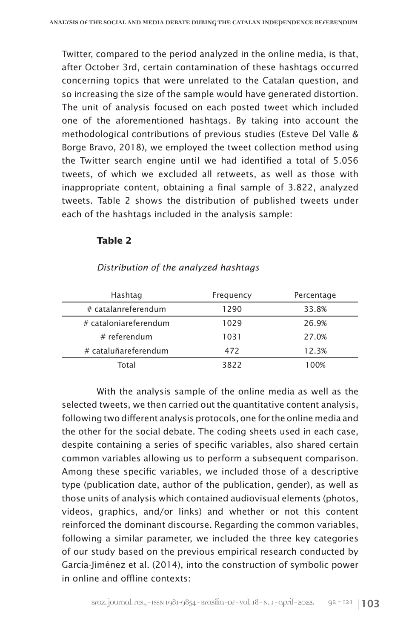Twitter, compared to the period analyzed in the online media, is that, after October 3rd, certain contamination of these hashtags occurred concerning topics that were unrelated to the Catalan question, and so increasing the size of the sample would have generated distortion. The unit of analysis focused on each posted tweet which included one of the aforementioned hashtags*.* By taking into account the methodological contributions of previous studies (Esteve Del Valle & Borge Bravo, 2018), we employed the tweet collection method using the Twitter search engine until we had identified a total of 5.056 tweets, of which we excluded all retweets, as well as those with inappropriate content, obtaining a final sample of 3.822, analyzed tweets. Table 2 shows the distribution of published tweets under each of the hashtags included in the analysis sample:

## **Table 2**

| Hashtag               | Frequency | Percentage |
|-----------------------|-----------|------------|
| # catalanreferendum   | 1290      | 33.8%      |
| # cataloniareferendum | 1029      | 26.9%      |
| # referendum          | 1031      | 27.0%      |
| # cataluñareferendum  | 472       | 12.3%      |
| Total                 | 3822      | 100%       |

#### *Distribution of the analyzed hashtags*

With the analysis sample of the online media as well as the selected tweets, we then carried out the quantitative content analysis, following two different analysis protocols, one for the online media and the other for the social debate. The coding sheets used in each case, despite containing a series of specific variables, also shared certain common variables allowing us to perform a subsequent comparison. Among these specific variables, we included those of a descriptive type (publication date, author of the publication, gender), as well as those units of analysis which contained audiovisual elements (photos, videos, graphics, and/or links) and whether or not this content reinforced the dominant discourse. Regarding the common variables, following a similar parameter, we included the three key categories of our study based on the previous empirical research conducted by García-Jiménez et al. (2014), into the construction of symbolic power in online and offline contexts: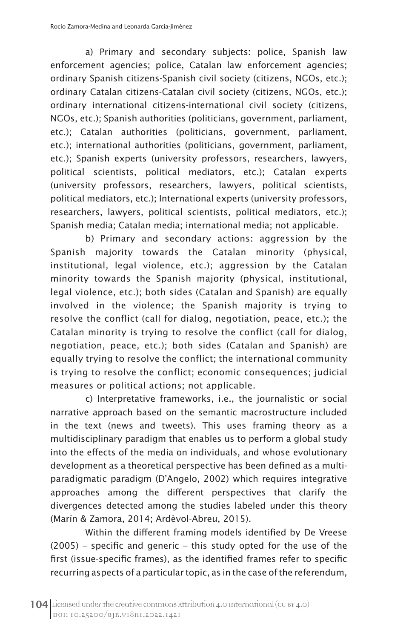a) Primary and secondary subjects: police, Spanish law enforcement agencies; police, Catalan law enforcement agencies; ordinary Spanish citizens-Spanish civil society (citizens, NGOs, etc.); ordinary Catalan citizens-Catalan civil society (citizens, NGOs, etc.); ordinary international citizens-international civil society (citizens, NGOs, etc.); Spanish authorities (politicians, government, parliament, etc.); Catalan authorities (politicians, government, parliament, etc.); international authorities (politicians, government, parliament, etc.); Spanish experts (university professors, researchers, lawyers, political scientists, political mediators, etc.); Catalan experts (university professors, researchers, lawyers, political scientists, political mediators, etc.); International experts (university professors, researchers, lawyers, political scientists, political mediators, etc.); Spanish media; Catalan media; international media; not applicable.

b) Primary and secondary actions: aggression by the Spanish majority towards the Catalan minority (physical, institutional, legal violence, etc.); aggression by the Catalan minority towards the Spanish majority (physical, institutional, legal violence, etc.); both sides (Catalan and Spanish) are equally involved in the violence; the Spanish majority is trying to resolve the conflict (call for dialog, negotiation, peace, etc.); the Catalan minority is trying to resolve the conflict (call for dialog, negotiation, peace, etc.); both sides (Catalan and Spanish) are equally trying to resolve the conflict; the international community is trying to resolve the conflict; economic consequences; judicial measures or political actions; not applicable.

c) Interpretative frameworks, i.e., the journalistic or social narrative approach based on the semantic macrostructure included in the text (news and tweets). This uses framing theory as a multidisciplinary paradigm that enables us to perform a global study into the effects of the media on individuals, and whose evolutionary development as a theoretical perspective has been defined as a multiparadigmatic paradigm (D'Angelo, 2002) which requires integrative approaches among the different perspectives that clarify the divergences detected among the studies labeled under this theory (Marín & Zamora, 2014; Ardèvol-Abreu, 2015).

Within the different framing models identified by De Vreese (2005) – specific and generic – this study opted for the use of the first (issue-specific frames), as the identified frames refer to specific recurring aspects of a particular topic, as in the case of the referendum,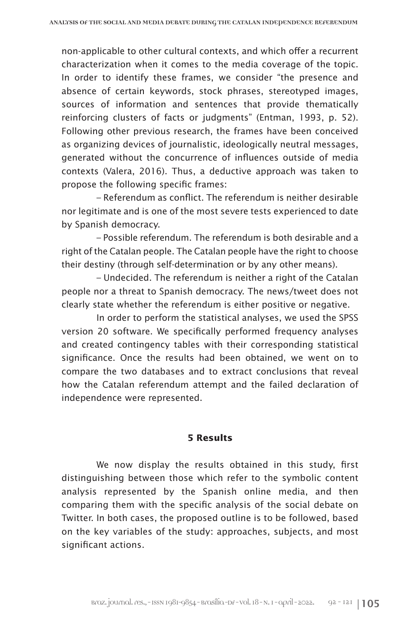non-applicable to other cultural contexts, and which offer a recurrent characterization when it comes to the media coverage of the topic. In order to identify these frames, we consider "the presence and absence of certain keywords, stock phrases, stereotyped images, sources of information and sentences that provide thematically reinforcing clusters of facts or judgments" (Entman, 1993, p. 52). Following other previous research, the frames have been conceived as organizing devices of journalistic, ideologically neutral messages, generated without the concurrence of influences outside of media contexts (Valera, 2016). Thus, a deductive approach was taken to propose the following specific frames:

– Referendum as conflict. The referendum is neither desirable nor legitimate and is one of the most severe tests experienced to date by Spanish democracy.

– Possible referendum. The referendum is both desirable and a right of the Catalan people. The Catalan people have the right to choose their destiny (through self-determination or by any other means).

– Undecided. The referendum is neither a right of the Catalan people nor a threat to Spanish democracy. The news/tweet does not clearly state whether the referendum is either positive or negative.

In order to perform the statistical analyses, we used the SPSS version 20 software. We specifically performed frequency analyses and created contingency tables with their corresponding statistical significance. Once the results had been obtained, we went on to compare the two databases and to extract conclusions that reveal how the Catalan referendum attempt and the failed declaration of independence were represented.

## **5 Results**

We now display the results obtained in this study, first distinguishing between those which refer to the symbolic content analysis represented by the Spanish online media, and then comparing them with the specific analysis of the social debate on Twitter. In both cases, the proposed outline is to be followed, based on the key variables of the study: approaches, subjects, and most significant actions.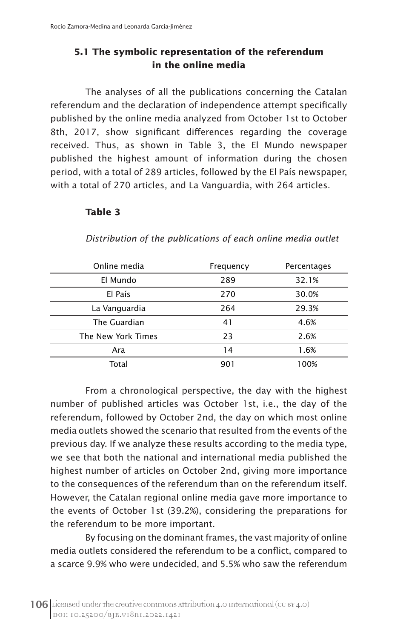# **5.1 The symbolic representation of the referendum in the online media**

The analyses of all the publications concerning the Catalan referendum and the declaration of independence attempt specifically published by the online media analyzed from October 1st to October 8th, 2017, show significant differences regarding the coverage received. Thus, as shown in Table 3, the El Mundo newspaper published the highest amount of information during the chosen period, with a total of 289 articles, followed by the El País newspaper, with a total of 270 articles, and La Vanguardia, with 264 articles.

#### **Table 3**

| Online media       | Frequency | Percentages |
|--------------------|-----------|-------------|
| El Mundo           | 289       | 32.1%       |
| El País            | 270       | 30.0%       |
| La Vanguardia      | 264       | 29.3%       |
| The Guardian       | 41        | 4.6%        |
| The New York Times | 23        | 2.6%        |
| Ara                | 14        | 1.6%        |
| Total              | 901       | 100%        |

*Distribution of the publications of each online media outlet*

From a chronological perspective, the day with the highest number of published articles was October 1st, i.e., the day of the referendum, followed by October 2nd, the day on which most online media outlets showed the scenario that resulted from the events of the previous day. If we analyze these results according to the media type, we see that both the national and international media published the highest number of articles on October 2nd, giving more importance to the consequences of the referendum than on the referendum itself. However, the Catalan regional online media gave more importance to the events of October 1st (39.2%), considering the preparations for the referendum to be more important.

By focusing on the dominant frames, the vast majority of online media outlets considered the referendum to be a conflict, compared to a scarce 9.9% who were undecided, and 5.5% who saw the referendum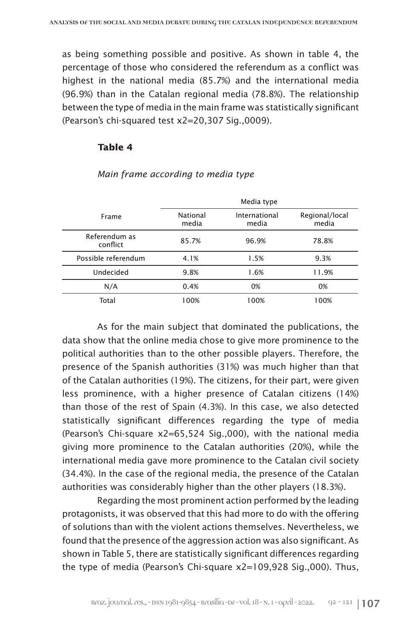as being something possible and positive. As shown in table 4, the percentage of those who considered the referendum as a conflict was highest in the national media (85.7%) and the international media (96.9%) than in the Catalan regional media (78.8%). The relationship between the type of media in the main frame was statistically significant (Pearson's chi-squared test x2=20,307 Sig.,0009).

#### **Table 4**

|                           | Media type        |                        |                         |
|---------------------------|-------------------|------------------------|-------------------------|
| Frame                     | National<br>media | International<br>media | Regional/local<br>media |
| Referendum as<br>conflict | 85.7%             | 96.9%                  | 78.8%                   |
| Possible referendum       | 4.1%              | 1.5%                   | 9.3%                    |
| Undecided                 | 9.8%              | 1.6%                   | 11.9%                   |
| N/A                       | 0.4%              | 0%                     | 0%                      |
| Total                     | 100%              | 100%                   | 100%                    |

#### *Main frame according to media type*

As for the main subject that dominated the publications, the data show that the online media chose to give more prominence to the political authorities than to the other possible players. Therefore, the presence of the Spanish authorities (31%) was much higher than that of the Catalan authorities (19%). The citizens, for their part, were given less prominence, with a higher presence of Catalan citizens (14%) than those of the rest of Spain (4.3%). In this case, we also detected statistically significant differences regarding the type of media (Pearson's Chi-square x2=65,524 Sig.,000), with the national media giving more prominence to the Catalan authorities (20%), while the international media gave more prominence to the Catalan civil society (34.4%). In the case of the regional media, the presence of the Catalan authorities was considerably higher than the other players (18.3%).

Regarding the most prominent action performed by the leading protagonists, it was observed that this had more to do with the offering of solutions than with the violent actions themselves. Nevertheless, we found that the presence of the aggression action was also significant. As shown in Table 5, there are statistically significant differences regarding the type of media (Pearson's Chi-square x2=109,928 Sig.,000). Thus,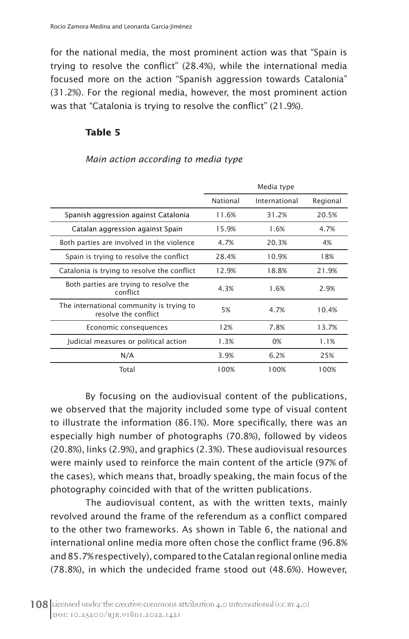for the national media, the most prominent action was that "Spain is trying to resolve the conflict" (28.4%), while the international media focused more on the action "Spanish aggression towards Catalonia" (31.2%). For the regional media, however, the most prominent action was that "Catalonia is trying to resolve the conflict" (21.9%).

# **Table 5**

*Main action according to media type*

|                                                                  | Media type |               |          |
|------------------------------------------------------------------|------------|---------------|----------|
|                                                                  | National   | International | Regional |
| Spanish aggression against Catalonia                             | 11.6%      | 31.2%         | 20.5%    |
| Catalan aggression against Spain                                 | 15.9%      | 1.6%          | 4.7%     |
| Both parties are involved in the violence                        | 4.7%       | 20.3%         | 4%       |
| Spain is trying to resolve the conflict                          | 28.4%      | 10.9%         | 18%      |
| Catalonia is trying to resolve the conflict                      | 12.9%      | 18.8%         | 21.9%    |
| Both parties are trying to resolve the<br>conflict               | 4.3%       | 1.6%          | 2.9%     |
| The international community is trying to<br>resolve the conflict | 5%         | 4.7%          | 10.4%    |
| Economic consequences                                            | 12%        | 7.8%          | 13.7%    |
| Judicial measures or political action                            | 1.3%       | 0%            | 1.1%     |
| N/A                                                              | 3.9%       | 6.2%          | 25%      |
| Total                                                            | 100%       | 100%          | 100%     |

By focusing on the audiovisual content of the publications, we observed that the majority included some type of visual content to illustrate the information (86.1%). More specifically, there was an especially high number of photographs (70.8%), followed by videos (20.8%), links (2.9%), and graphics (2.3%). These audiovisual resources were mainly used to reinforce the main content of the article (97% of the cases), which means that, broadly speaking, the main focus of the photography coincided with that of the written publications.

The audiovisual content, as with the written texts, mainly revolved around the frame of the referendum as a conflict compared to the other two frameworks. As shown in Table 6, the national and international online media more often chose the conflict frame (96.8% and 85.7% respectively), compared to the Catalan regional online media (78.8%), in which the undecided frame stood out (48.6%). However,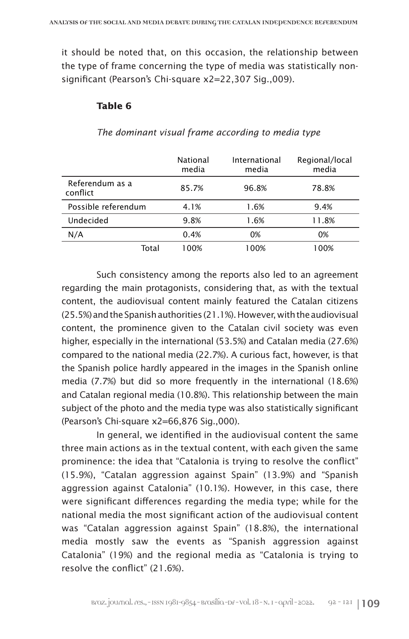it should be noted that, on this occasion, the relationship between the type of frame concerning the type of media was statistically nonsignificant (Pearson's Chi-square x2=22,307 Sig.,009).

#### **Table 6**

|                             | National<br>media | International<br>media | Regional/local<br>media |
|-----------------------------|-------------------|------------------------|-------------------------|
| Referendum as a<br>conflict | 85.7%             | 96.8%                  | 78.8%                   |
| Possible referendum         | 4.1%              | 1.6%                   | 9.4%                    |
| Undecided                   | 9.8%              | 1.6%                   | 11.8%                   |
| N/A                         | 0.4%              | 0%                     | 0%                      |
| Total                       | 100%              | 100%                   | 100%                    |

#### *The dominant visual frame according to media type*

Such consistency among the reports also led to an agreement regarding the main protagonists, considering that, as with the textual content, the audiovisual content mainly featured the Catalan citizens (25.5%) and the Spanish authorities (21.1%). However, with the audiovisual content, the prominence given to the Catalan civil society was even higher, especially in the international (53.5%) and Catalan media (27.6%) compared to the national media (22.7%). A curious fact, however, is that the Spanish police hardly appeared in the images in the Spanish online media (7.7%) but did so more frequently in the international (18.6%) and Catalan regional media (10.8%). This relationship between the main subject of the photo and the media type was also statistically significant (Pearson's Chi-square x2=66,876 Sig.,000).

In general, we identified in the audiovisual content the same three main actions as in the textual content, with each given the same prominence: the idea that "Catalonia is trying to resolve the conflict" (15.9%), "Catalan aggression against Spain" (13.9%) and "Spanish aggression against Catalonia" (10.1%). However, in this case, there were significant differences regarding the media type; while for the national media the most significant action of the audiovisual content was "Catalan aggression against Spain" (18.8%), the international media mostly saw the events as "Spanish aggression against Catalonia" (19%) and the regional media as "Catalonia is trying to resolve the conflict" (21.6%).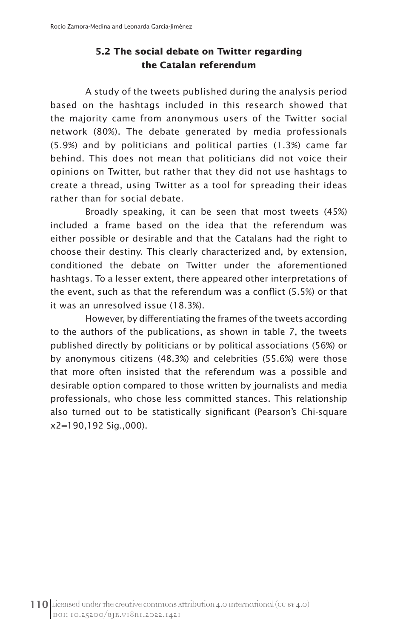# **5.2 The social debate on Twitter regarding the Catalan referendum**

A study of the tweets published during the analysis period based on the hashtags included in this research showed that the majority came from anonymous users of the Twitter social network (80%). The debate generated by media professionals (5.9%) and by politicians and political parties (1.3%) came far behind. This does not mean that politicians did not voice their opinions on Twitter, but rather that they did not use hashtags to create a thread, using Twitter as a tool for spreading their ideas rather than for social debate.

Broadly speaking, it can be seen that most tweets (45%) included a frame based on the idea that the referendum was either possible or desirable and that the Catalans had the right to choose their destiny. This clearly characterized and, by extension, conditioned the debate on Twitter under the aforementioned hashtags. To a lesser extent, there appeared other interpretations of the event, such as that the referendum was a conflict (5.5%) or that it was an unresolved issue (18.3%).

However, by differentiating the frames of the tweets according to the authors of the publications, as shown in table 7, the tweets published directly by politicians or by political associations (56%) or by anonymous citizens (48.3%) and celebrities (55.6%) were those that more often insisted that the referendum was a possible and desirable option compared to those written by journalists and media professionals, who chose less committed stances. This relationship also turned out to be statistically significant (Pearson's Chi-square x2=190,192 Sig.,000).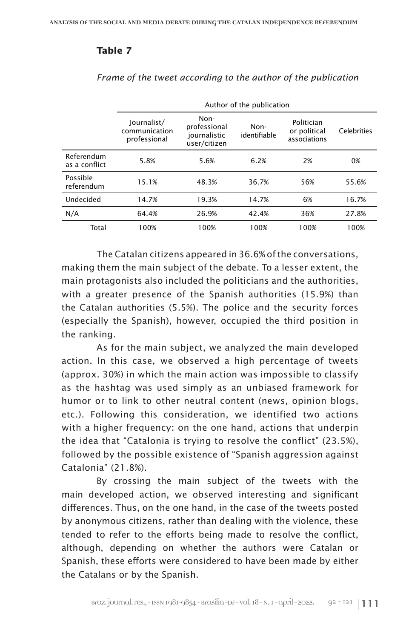# **Table 7**

|                             | Author of the publication                    |                                                      |                      |                                            |                    |
|-----------------------------|----------------------------------------------|------------------------------------------------------|----------------------|--------------------------------------------|--------------------|
|                             | Journalist/<br>communication<br>professional | Non-<br>professional<br>journalistic<br>user/citizen | Non-<br>identifiable | Politician<br>or political<br>associations | <b>Celebrities</b> |
| Referendum<br>as a conflict | 5.8%                                         | 5.6%                                                 | 6.2%                 | 2%                                         | 0%                 |
| Possible<br>referendum      | 15.1%                                        | 48.3%                                                | 36.7%                | 56%                                        | 55.6%              |
| Undecided                   | 14.7%                                        | 19.3%                                                | 14.7%                | 6%                                         | 16.7%              |
| N/A                         | 64.4%                                        | 26.9%                                                | 42.4%                | 36%                                        | 27.8%              |
| Total                       | 100%                                         | 100%                                                 | 100%                 | 100%                                       | 100%               |

*Frame of the tweet according to the author of the publication*

The Catalan citizens appeared in 36.6% of the conversations, making them the main subject of the debate. To a lesser extent, the main protagonists also included the politicians and the authorities, with a greater presence of the Spanish authorities (15.9%) than the Catalan authorities (5.5%). The police and the security forces (especially the Spanish), however, occupied the third position in the ranking.

As for the main subject, we analyzed the main developed action. In this case, we observed a high percentage of tweets (approx. 30%) in which the main action was impossible to classify as the hashtag was used simply as an unbiased framework for humor or to link to other neutral content (news, opinion blogs, etc.). Following this consideration, we identified two actions with a higher frequency: on the one hand, actions that underpin the idea that "Catalonia is trying to resolve the conflict" (23.5%), followed by the possible existence of "Spanish aggression against Catalonia" (21.8%).

By crossing the main subject of the tweets with the main developed action, we observed interesting and significant differences. Thus, on the one hand, in the case of the tweets posted by anonymous citizens, rather than dealing with the violence, these tended to refer to the efforts being made to resolve the conflict, although, depending on whether the authors were Catalan or Spanish, these efforts were considered to have been made by either the Catalans or by the Spanish.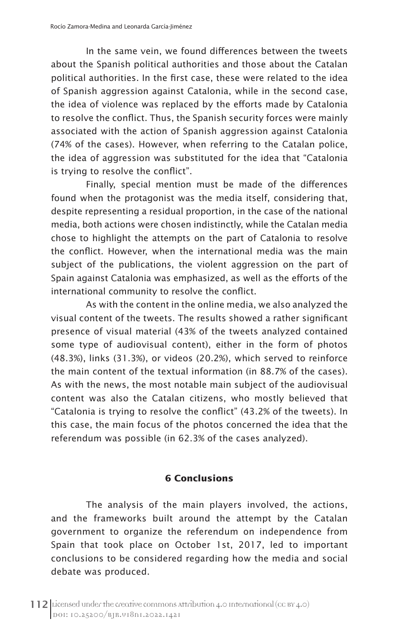In the same vein, we found differences between the tweets about the Spanish political authorities and those about the Catalan political authorities. In the first case, these were related to the idea of Spanish aggression against Catalonia, while in the second case, the idea of violence was replaced by the efforts made by Catalonia to resolve the conflict. Thus, the Spanish security forces were mainly associated with the action of Spanish aggression against Catalonia (74% of the cases). However, when referring to the Catalan police, the idea of aggression was substituted for the idea that "Catalonia is trying to resolve the conflict".

Finally, special mention must be made of the differences found when the protagonist was the media itself, considering that, despite representing a residual proportion, in the case of the national media, both actions were chosen indistinctly, while the Catalan media chose to highlight the attempts on the part of Catalonia to resolve the conflict. However, when the international media was the main subject of the publications, the violent aggression on the part of Spain against Catalonia was emphasized, as well as the efforts of the international community to resolve the conflict.

As with the content in the online media, we also analyzed the visual content of the tweets. The results showed a rather significant presence of visual material (43% of the tweets analyzed contained some type of audiovisual content), either in the form of photos (48.3%), links (31.3%), or videos (20.2%), which served to reinforce the main content of the textual information (in 88.7% of the cases). As with the news, the most notable main subject of the audiovisual content was also the Catalan citizens, who mostly believed that "Catalonia is trying to resolve the conflict" (43.2% of the tweets). In this case, the main focus of the photos concerned the idea that the referendum was possible (in 62.3% of the cases analyzed).

# **6 Conclusions**

The analysis of the main players involved, the actions, and the frameworks built around the attempt by the Catalan government to organize the referendum on independence from Spain that took place on October 1st, 2017, led to important conclusions to be considered regarding how the media and social debate was produced.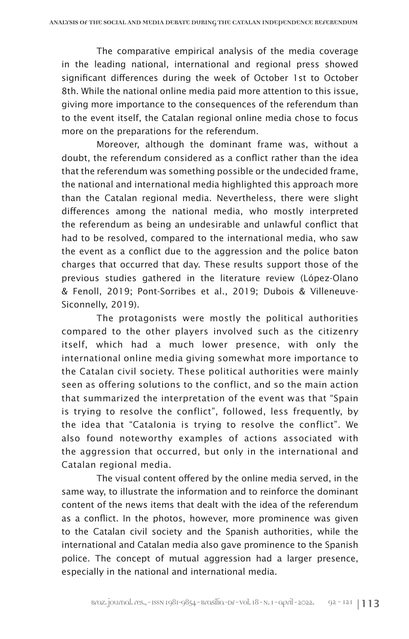The comparative empirical analysis of the media coverage in the leading national, international and regional press showed significant differences during the week of October 1st to October 8th. While the national online media paid more attention to this issue, giving more importance to the consequences of the referendum than to the event itself, the Catalan regional online media chose to focus more on the preparations for the referendum.

Moreover, although the dominant frame was, without a doubt, the referendum considered as a conflict rather than the idea that the referendum was something possible or the undecided frame, the national and international media highlighted this approach more than the Catalan regional media. Nevertheless, there were slight differences among the national media, who mostly interpreted the referendum as being an undesirable and unlawful conflict that had to be resolved, compared to the international media, who saw the event as a conflict due to the aggression and the police baton charges that occurred that day. These results support those of the previous studies gathered in the literature review (López-Olano & Fenoll, 2019; Pont-Sorribes et al., 2019; Dubois & Villeneuve-Siconnelly, 2019).

The protagonists were mostly the political authorities compared to the other players involved such as the citizenry itself, which had a much lower presence, with only the international online media giving somewhat more importance to the Catalan civil society. These political authorities were mainly seen as offering solutions to the conflict, and so the main action that summarized the interpretation of the event was that "Spain is trying to resolve the conflict", followed, less frequently, by the idea that "Catalonia is trying to resolve the conflict". We also found noteworthy examples of actions associated with the aggression that occurred, but only in the international and Catalan regional media.

The visual content offered by the online media served, in the same way, to illustrate the information and to reinforce the dominant content of the news items that dealt with the idea of the referendum as a conflict. In the photos, however, more prominence was given to the Catalan civil society and the Spanish authorities, while the international and Catalan media also gave prominence to the Spanish police. The concept of mutual aggression had a larger presence, especially in the national and international media.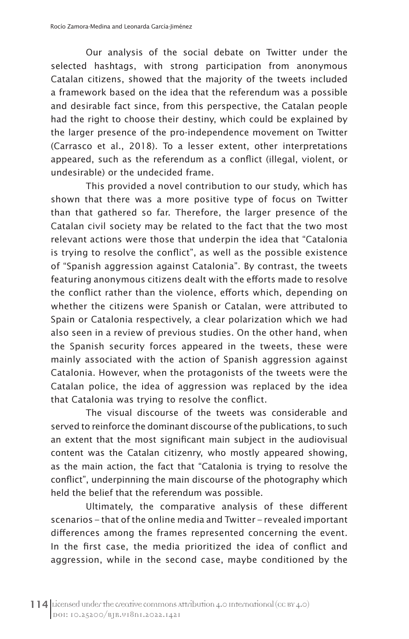Our analysis of the social debate on Twitter under the selected hashtags, with strong participation from anonymous Catalan citizens, showed that the majority of the tweets included a framework based on the idea that the referendum was a possible and desirable fact since, from this perspective, the Catalan people had the right to choose their destiny, which could be explained by the larger presence of the pro-independence movement on Twitter (Carrasco et al., 2018). To a lesser extent, other interpretations appeared, such as the referendum as a conflict (illegal, violent, or undesirable) or the undecided frame.

This provided a novel contribution to our study, which has shown that there was a more positive type of focus on Twitter than that gathered so far. Therefore, the larger presence of the Catalan civil society may be related to the fact that the two most relevant actions were those that underpin the idea that "Catalonia is trying to resolve the conflict", as well as the possible existence of "Spanish aggression against Catalonia". By contrast, the tweets featuring anonymous citizens dealt with the efforts made to resolve the conflict rather than the violence, efforts which, depending on whether the citizens were Spanish or Catalan, were attributed to Spain or Catalonia respectively, a clear polarization which we had also seen in a review of previous studies. On the other hand, when the Spanish security forces appeared in the tweets, these were mainly associated with the action of Spanish aggression against Catalonia. However, when the protagonists of the tweets were the Catalan police, the idea of aggression was replaced by the idea that Catalonia was trying to resolve the conflict.

The visual discourse of the tweets was considerable and served to reinforce the dominant discourse of the publications, to such an extent that the most significant main subject in the audiovisual content was the Catalan citizenry, who mostly appeared showing, as the main action, the fact that "Catalonia is trying to resolve the conflict", underpinning the main discourse of the photography which held the belief that the referendum was possible.

Ultimately, the comparative analysis of these different scenarios – that of the online media and Twitter – revealed important differences among the frames represented concerning the event. In the first case, the media prioritized the idea of conflict and aggression, while in the second case, maybe conditioned by the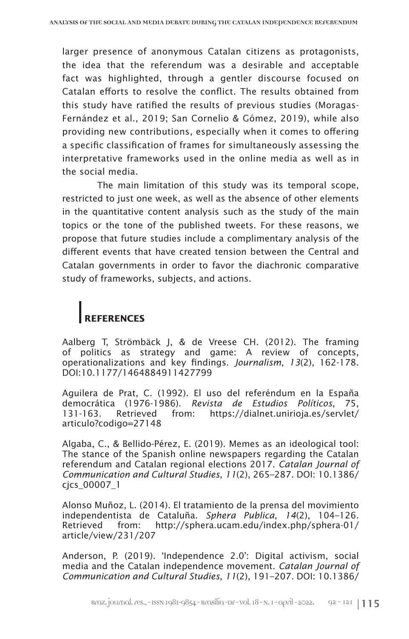larger presence of anonymous Catalan citizens as protagonists, the idea that the referendum was a desirable and acceptable fact was highlighted, through a gentler discourse focused on Catalan efforts to resolve the conflict. The results obtained from this study have ratified the results of previous studies (Moragas-Fernández et al., 2019; San Cornelio & Gómez, 2019), while also providing new contributions, especially when it comes to offering a specific classification of frames for simultaneously assessing the interpretative frameworks used in the online media as well as in the social media.

The main limitation of this study was its temporal scope, restricted to just one week, as well as the absence of other elements in the quantitative content analysis such as the study of the main topics or the tone of the published tweets. For these reasons, we propose that future studies include a complimentary analysis of the different events that have created tension between the Central and Catalan governments in order to favor the diachronic comparative study of frameworks, subjects, and actions.

# **REFERENCES**

Aalberg T, Strömbäck J, & de Vreese CH. (2012). The framing of politics as strategy and game: A review of concepts, operationalizations and key findings. *Journalism*, *13*(2), 162-178. DOI:10.1177/1464884911427799

Aguilera de Prat, C. (1992). El uso del referéndum en la España democrática (1976-1986). *Revista de Estudios Políticos*, 75, 131-163. Retrieved from: https://dialnet.unirioja.es/servlet/ articulo?codigo=27148

Algaba, C., & Bellido-Pérez, E. (2019). Memes as an ideological tool: The stance of the Spanish online newspapers regarding the Catalan referendum and Catalan regional elections 2017. *Catalan Journal of Communication and Cultural Studies*, *11*(2), 265–287. DOI: 10.1386/ cjcs\_00007\_1

Alonso Muñoz, L. (2014). El tratamiento de la prensa del movimiento independentista de Cataluña. *Sphera Publica*, *14*(2), 104–126. Retrieved from: http://sphera.ucam.edu/index.php/sphera-01/ article/view/231/207

Anderson, P. (2019). 'Independence 2.0': Digital activism, social media and the Catalan independence movement. *Catalan Journal of Communication and Cultural Studies*, *11*(2), 191–207. DOI: 10.1386/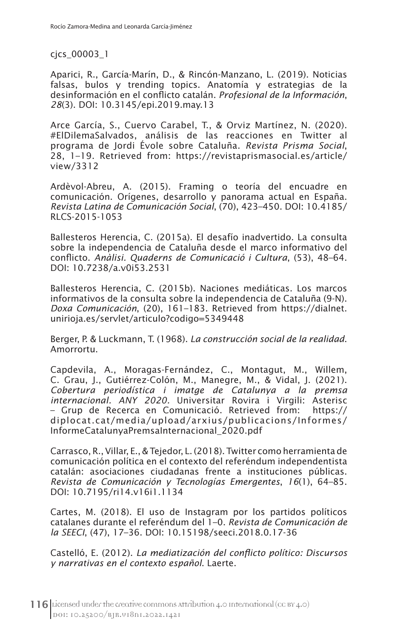cjcs\_00003\_1

Aparici, R., García-Marín, D., & Rincón-Manzano, L. (2019). Noticias falsas, bulos y trending topics. Anatomía y estrategias de la desinformación en el conflicto catalán. *Profesional de la Información*, *28*(3). DOI: 10.3145/epi.2019.may.13

Arce García, S., Cuervo Carabel, T., & Orviz Martínez, N. (2020). #ElDilemaSalvados, análisis de las reacciones en Twitter al programa de Jordi Évole sobre Cataluña. *Revista Prisma Social*, 28, 1–19. Retrieved from: https://revistaprismasocial.es/article/ view/3312

Ardèvol-Abreu, A. (2015). Framing o teoría del encuadre en comunicación. Orígenes, desarrollo y panorama actual en España. *Revista Latina de Comunicación Social*, (70), 423–450. DOI: 10.4185/ RLCS-2015-1053

Ballesteros Herencia, C. (2015a). El desafío inadvertido. La consulta sobre la independencia de Cataluña desde el marco informativo del conflicto. *Anàlisi. Quaderns de Comunicació i Cultura*, (53), 48–64. DOI: 10.7238/a.v0i53.2531

Ballesteros Herencia, C. (2015b). Naciones mediáticas. Los marcos informativos de la consulta sobre la independencia de Cataluña (9-N). *Doxa Comunicación*, (20), 161–183. Retrieved from https://dialnet. unirioja.es/servlet/articulo?codigo=5349448

Berger, P. & Luckmann, T. (1968). *La construcción social de la realidad*. Amorrortu.

Capdevila, A., Moragas-Fernández, C., Montagut, M., Willem, C. Grau, J., Gutiérrez-Colón, M., Manegre, M., & Vidal, J. (2021). *Cobertura periodística i imatge de Catalunya a la premsa internacional. ANY 2020.* Universitar Rovira i Virgili: Asterisc – Grup de Recerca en Comunicació. Retrieved from: https:// diplocat.cat/media/upload/arxius/publicacions/Informes/ InformeCatalunyaPremsaInternacional\_2020.pdf

Carrasco, R., Villar, E., & Tejedor, L. (2018). Twitter como herramienta de comunicación política en el contexto del referéndum independentista catalán: asociaciones ciudadanas frente a instituciones públicas. *Revista de Comunicación y Tecnologías Emergentes*, *16*(1), 64–85. DOI: 10.7195/ri14.v16i1.1134

Cartes, M. (2018). El uso de Instagram por los partidos políticos catalanes durante el referéndum del 1–0. *Revista de Comunicación de la SEECI*, (47), 17–36. DOI: 10.15198/seeci.2018.0.17-36

Castelló, E. (2012). *La mediatización del conflicto político: Discursos y narrativas en el contexto español*. Laerte.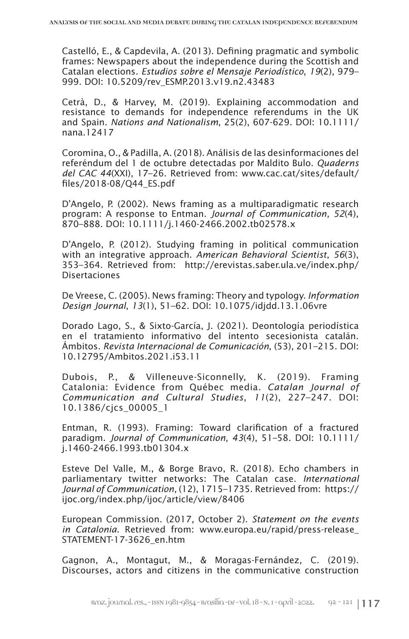Castelló, E., & Capdevila, A. (2013). Defining pragmatic and symbolic frames: Newspapers about the independence during the Scottish and Catalan elections. *Estudios sobre el Mensaje Periodístico*, *19*(2), 979– 999. DOI: 10.5209/rev\_ESMP.2013.v19.n2.43483

Cetrà, D., & Harvey, M. (2019). Explaining accommodation and resistance to demands for independence referendums in the UK and Spain. *Nations and Nationalism*, 25(2), 607-629. DOI: 10.1111/ nana.12417

Coromina, O., & Padilla, A. (2018). Análisis de las desinformaciones del referéndum del 1 de octubre detectadas por Maldito Bulo. *Quaderns del CAC 44*(XXI), 17–26. Retrieved from: www.cac.cat/sites/default/ files/2018-08/Q44\_ES.pdf

D'Angelo, P. (2002). News framing as a multiparadigmatic research program: A response to Entman. *Journal of Communication, 52*(4), 870–888. DOI: 10.1111/j.1460-2466.2002.tb02578.x

D'Angelo, P. (2012). Studying framing in political communication with an integrative approach. *American Behavioral Scientist*, *56*(3), 353–364. Retrieved from: http://erevistas.saber.ula.ve/index.php/ Disertaciones

De Vreese, C. (2005). News framing: Theory and typology. *Information Design Journal*, *13*(1), 51–62. DOI: 10.1075/idjdd.13.1.06vre

Dorado Lago, S., & Sixto-García, J. (2021). Deontología periodística en el tratamiento informativo del intento secesionista catalán. Ámbitos. *Revista Internacional de Comunicación*, (53), 201–215. DOI: 10.12795/Ambitos.2021.i53.11

Dubois, P., & Villeneuve-Siconnelly, K. (2019). Framing Catalonia: Evidence from Québec media. *Catalan Journal of Communication and Cultural Studies*, *11*(2), 227–247. DOI: 10.1386/cjcs\_00005\_1

Entman, R. (1993). Framing: Toward clarification of a fractured paradigm. *Journal of Communication*, *43*(4), 51–58. DOI: 10.1111/ j.1460-2466.1993.tb01304.x

Esteve Del Valle, M., & Borge Bravo, R. (2018). Echo chambers in parliamentary twitter networks: The Catalan case. *International Journal of Communication,* (12), 1715–1735. Retrieved from: https:// ijoc.org/index.php/ijoc/article/view/8406

European Commission. (2017, October 2). *Statement on the events in Catalonia*. Retrieved from: www.europa.eu/rapid/press-release\_ STATEMENT-17-3626\_en.htm

Gagnon, A., Montagut, M., & Moragas-Fernández, C. (2019). Discourses, actors and citizens in the communicative construction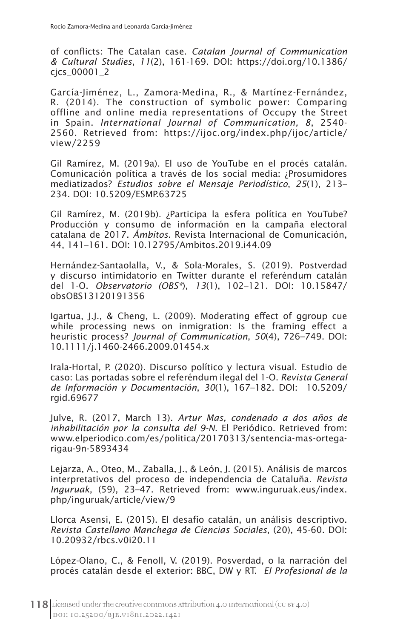of conflicts: The Catalan case. *Catalan Journal of Communication & Cultural Studies*, *11*(2), 161-169. DOI: https://doi.org/10.1386/ cjcs\_00001\_2

García-Jiménez, L., Zamora-Medina, R., & Martínez-Fernández, R. (2014). The construction of symbolic power: Comparing offline and online media representations of Occupy the Street in Spain. *International Journal of Communication, 8*, 2540- 2560. Retrieved from: https://ijoc.org/index.php/ijoc/article/ view/2259

Gil Ramírez, M. (2019a). El uso de YouTube en el procés catalán. Comunicación política a través de los social media: ¿Prosumidores mediatizados? *Estudios sobre el Mensaje Periodístico*, *25*(1), 213– 234. DOI: 10.5209/ESMP.63725

Gil Ramírez, M. (2019b). ¿Participa la esfera política en YouTube? Producción y consumo de información en la campaña electoral catalana de 2017. *Ámbitos*. Revista Internacional de Comunicación, 44, 141–161. DOI: 10.12795/Ambitos.2019.i44.09

Hernández-Santaolalla, V., & Sola-Morales, S. (2019). Postverdad y discurso intimidatorio en Twitter durante el referéndum catalán del 1-O. *Observatorio (OBS\**), *13*(1), 102–121. DOI: 10.15847/ obsOBS13120191356

Igartua, J.J., & Cheng, L. (2009). Moderating effect of ggroup cue while processing news on inmigration: Is the framing effect a heuristic process? *Journal of Communication*, *50*(4), 726–749. DOI: 10.1111/j.1460-2466.2009.01454.x

Irala-Hortal, P. (2020). Discurso político y lectura visual. Estudio de caso: Las portadas sobre el referéndum ilegal del 1-O. *Revista General de Información y Documentación*, *30*(1), 167–182. DOI: 10.5209/ rgid.69677

Julve, R. (2017, March 13). *Artur Mas, condenado a dos años de inhabilitación por la consulta del 9-N*. El Periódico. Retrieved from: www.elperiodico.com/es/politica/20170313/sentencia-mas-ortegarigau-9n-5893434

Lejarza, A., Oteo, M., Zaballa, J., & León, J. (2015). Análisis de marcos interpretativos del proceso de independencia de Cataluña. *Revista Inguruak*, (59), 23–47. Retrieved from: www.inguruak.eus/index. php/inguruak/article/view/9

Llorca Asensi, E. (2015). El desafío catalán, un análisis descriptivo. *Revista Castellano Manchega de Ciencias Sociales*, (20), 45-60. DOI: 10.20932/rbcs.v0i20.11

López-Olano, C., & Fenoll, V. (2019). Posverdad, o la narración del procés catalán desde el exterior: BBC, DW y RT. *El Profesional de la*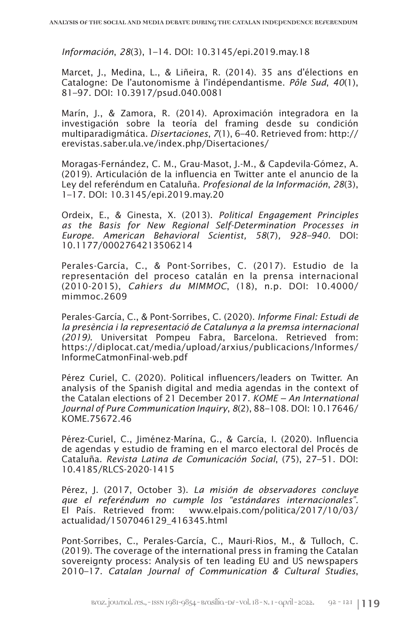*Información*, *28*(3), 1–14. DOI: 10.3145/epi.2019.may.18

Marcet, J., Medina, L., & Liñeira, R. (2014). 35 ans d'élections en Catalogne: De l'autonomisme à l'indépendantisme. *Pôle Sud*, *40*(1), 81–97. DOI: 10.3917/psud.040.0081

Marín, J., & Zamora, R. (2014). Aproximación integradora en la investigación sobre la teoría del framing desde su condición multiparadigmática. *Disertaciones*, *7*(1), 6–40. Retrieved from: http:// erevistas.saber.ula.ve/index.php/Disertaciones/

Moragas-Fernández, C. M., Grau-Masot, J.-M., & Capdevila-Gómez, A. (2019). Articulación de la influencia en Twitter ante el anuncio de la Ley del referéndum en Cataluña. *Profesional de la Información*, *28*(3), 1–17. DOI: 10.3145/epi.2019.may.20

Ordeix, E., & Ginesta, X. (2013). *Political Engagement Principles as the Basis for New Regional Self-Determination Processes in Europe. American Behavioral Scientist, 58*(7)*, 928–940.* DOI: 10.1177/0002764213506214

Perales-García, C., & Pont-Sorribes, C. (2017). Estudio de la representación del proceso catalán en la prensa internacional (2010-2015), *Cahiers du MIMMOC*, (18), n.p. DOI: 10.4000/ mimmoc.2609

Perales-García, C., & Pont-Sorribes, C. (2020). *Informe Final: Estudi de la presència i la representació de Catalunya a la premsa internacional (2019)*. Universitat Pompeu Fabra, Barcelona. Retrieved from: https://diplocat.cat/media/upload/arxius/publicacions/Informes/ InformeCatmonFinal-web.pdf

Pérez Curiel, C. (2020). Political influencers/leaders on Twitter. An analysis of the Spanish digital and media agendas in the context of the Catalan elections of 21 December 2017. *KOME − An International Journal of Pure Communication Inquiry*, *8*(2), 88–108. DOI: 10.17646/ KOME.75672.46

Pérez-Curiel, C., Jiménez-Marína, G., & García, I. (2020). Influencia de agendas y estudio de framing en el marco electoral del Procés de Cataluña. *Revista Latina de Comunicación Social*, (75), 27–51. DOI: 10.4185/RLCS-2020-1415

Pérez, J. (2017, October 3). *La misión de observadores concluye que el referéndum no cumple los "estándares internacionales"*. El País. Retrieved from: www.elpais.com/politica/2017/10/03/ actualidad/1507046129\_416345.html

Pont-Sorribes, C., Perales-García, C., Mauri-Rios, M., & Tulloch, C. (2019). The coverage of the international press in framing the Catalan sovereignty process: Analysis of ten leading EU and US newspapers 2010–17. *Catalan Journal of Communication & Cultural Studies*,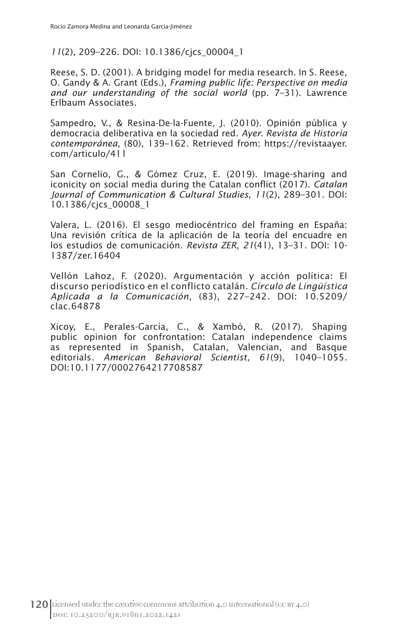*11*(2), 209–226. DOI: 10.1386/cjcs\_00004\_1

Reese, S. D. (2001). A bridging model for media research. In S. Reese, O. Gandy & A. Grant (Eds.), *Framing public life: Perspective on media and our understanding of the social world* (pp. 7–31). Lawrence Erlbaum Associates.

Sampedro, V., & Resina-De-la-Fuente, J. (2010). Opinión pública y democracia deliberativa en la sociedad red. *Ayer. Revista de Historia contemporánea*, (80), 139–162. Retrieved from: https://revistaayer. com/articulo/411

San Cornelio, G., & Gómez Cruz, E. (2019). Image-sharing and iconicity on social media during the Catalan conflict (2017). *Catalan Journal of Communication & Cultural Studies*, *11*(2), 289–301. DOI: 10.1386/cjcs\_00008\_1

Valera, L. (2016). El sesgo mediocéntrico del framing en España: Una revisión crítica de la aplicación de la teoría del encuadre en los estudios de comunicación. *Revista ZER*, *21*(41), 13–31. DOI: 10- 1387/zer.16404

Vellón Lahoz, F. (2020). Argumentación y acción política: El discurso periodístico en el conflicto catalán. *Círculo de Lingüística Aplicada a la Comunicación,* (83), 227–242. DOI: 10.5209/ clac.64878

Xicoy, E., Perales-García, C., & Xambó, R. (2017). Shaping public opinion for confrontation: Catalan independence claims as represented in Spanish, Catalan, Valencian, and Basque editorials*. American Behavioral Scientist, 61*(9), 1040–1055*.*  DOI:10.1177/0002764217708587